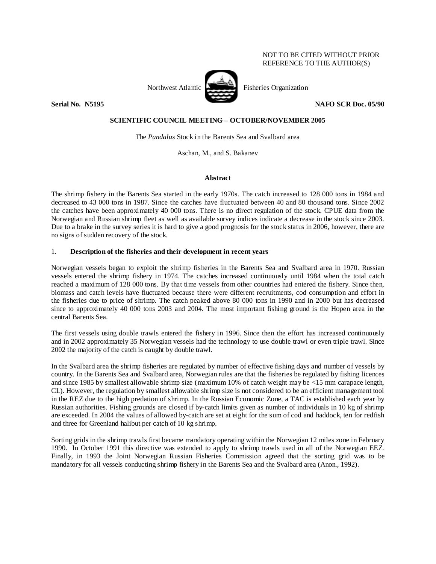# NOT TO BE CITED WITHOUT PRIOR REFERENCE TO THE AUTHOR(S)

Northwest Atlantic Fisheries Organization

**Serial No. 35195** NAFO SCR Doc. 05/90 **NAFO** SCR Doc. 05/90

# **SCIENTIFIC COUNCIL MEETING – OCTOBER/NOVEMBER 2005**

The *Pandalus* Stock in the Barents Sea and Svalbard area

Aschan, M., and S. Bakanev

### **Abstract**

The shrimp fishery in the Barents Sea started in the early 1970s. The catch increased to 128 000 tons in 1984 and decreased to 43 000 tons in 1987. Since the catches have fluctuated between 40 and 80 thousand tons. Since 2002 the catches have been approximately 40 000 tons. There is no direct regulation of the stock. CPUE data from the Norwegian and Russian shrimp fleet as well as available survey indices indicate a decrease in the stock since 2003. Due to a brake in the survey series it is hard to give a good prognosis for the stock status in 2006, however, there are no signs of sudden recovery of the stock.

### 1. **Description of the fisheries and their development in recent years**

Norwegian vessels began to exploit the shrimp fisheries in the Barents Sea and Svalbard area in 1970. Russian vessels entered the shrimp fishery in 1974. The catches increased continuously until 1984 when the total catch reached a maximum of 128 000 tons. By that time vessels from other countries had entered the fishery. Since then, biomass and catch levels have fluctuated because there were different recruitments, cod consumption and effort in the fisheries due to price of shrimp. The catch peaked above 80 000 tons in 1990 and in 2000 but has decreased since to approximately 40 000 tons 2003 and 2004. The most important fishing ground is the Hopen area in the central Barents Sea.

The first vessels using double trawls entered the fishery in 1996. Since then the effort has increased continuously and in 2002 approximately 35 Norwegian vessels had the technology to use double trawl or even triple trawl. Since 2002 the majority of the catch is caught by double trawl.

In the Svalbard area the shrimp fisheries are regulated by number of effective fishing days and number of vessels by country. In the Barents Sea and Svalbard area, Norwegian rules are that the fisheries be regulated by fishing licences and since 1985 by smallest allowable shrimp size (maximum 10% of catch weight may be <15 mm carapace length, CL). However, the regulation by smallest allowable shrimp size is not considered to be an efficient management tool in the REZ due to the high predation of shrimp. In the Russian Economic Zone, a TAC is established each year by Russian authorities. Fishing grounds are closed if by-catch limits given as number of individuals in 10 kg of shrimp are exceeded. In 2004 the values of allowed by-catch are set at eight for the sum of cod and haddock, ten for redfish and three for Greenland halibut per catch of 10 kg shrimp.

Sorting grids in the shrimp trawls first became mandatory operating within the Norwegian 12 miles zone in February 1990. In October 1991 this directive was extended to apply to shrimp trawls used in all of the Norwegian EEZ. Finally, in 1993 the Joint Norwegian Russian Fisheries Commission agreed that the sorting grid was to be mandatory for all vessels conducting shrimp fishery in the Barents Sea and the Svalbard area (Anon., 1992).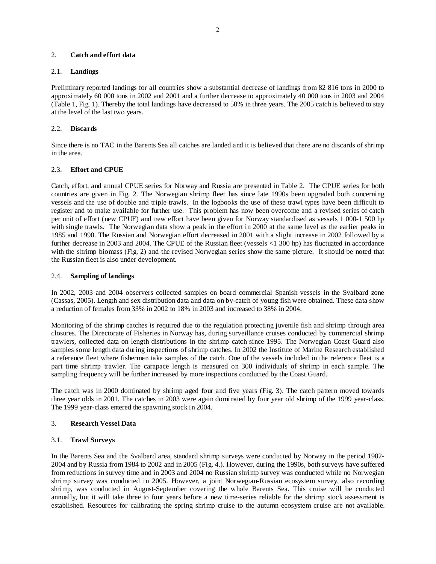### 2. **Catch and effort data**

### 2.1. **Landings**

Preliminary reported landings for all countries show a substantial decrease of landings from 82 816 tons in 2000 to approximately 60 000 tons in 2002 and 2001 and a further decrease to approximately 40 000 tons in 2003 and 2004 (Table 1, Fig. 1). Thereby the total landings have decreased to 50% in three years. The 2005 catch is believed to stay at the level of the last two years.

# 2.2. **Discards**

Since there is no TAC in the Barents Sea all catches are landed and it is believed that there are no discards of shrimp in the area.

### 2.3. **Effort and CPUE**

Catch, effort, and annual CPUE series for Norway and Russia are presented in Table 2. The CPUE series for both countries are given in Fig. 2. The Norwegian shrimp fleet has since late 1990s been upgraded both concerning vessels and the use of double and triple trawls. In the logbooks the use of these trawl types have been difficult to register and to make available for further use. This problem has now been overcome and a revised series of catch per unit of effort (new CPUE) and new effort have been given for Norway standardised as vessels 1 000-1 500 hp with single trawls. The Norwegian data show a peak in the effort in 2000 at the same level as the earlier peaks in 1985 and 1990. The Russian and Norwegian effort decreased in 2001 with a slight increase in 2002 followed by a further decrease in 2003 and 2004. The CPUE of the Russian fleet (vessels <1 300 hp) has fluctuated in accordance with the shrimp biomass (Fig. 2) and the revised Norwegian series show the same picture. It should be noted that the Russian fleet is also under development.

### 2.4. **Sampling of landings**

In 2002, 2003 and 2004 observers collected samples on board commercial Spanish vessels in the Svalbard zone (Cassas, 2005). Length and sex distribution data and data on by-catch of young fish were obtained. These data show a reduction of females from 33% in 2002 to 18% in 2003 and increased to 38% in 2004.

Monitoring of the shrimp catches is required due to the regulation protecting juvenile fish and shrimp through area closures. The Directorate of Fisheries in Norway has, during surveillance cruises conducted by commercial shrimp trawlers, collected data on length distributions in the shrimp catch since 1995. The Norwegian Coast Guard also samples some length data during inspections of shrimp catches. In 2002 the Institute of Marine Research established a reference fleet where fishermen take samples of the catch. One of the vessels included in the reference fleet is a part time shrimp trawler. The carapace length is measured on 300 individuals of shrimp in each sample. The sampling frequency will be further increased by more inspections conducted by the Coast Guard.

The catch was in 2000 dominated by shrimp aged four and five years (Fig. 3). The catch pattern moved towards three year olds in 2001. The catches in 2003 were again dominated by four year old shrimp of the 1999 year-class. The 1999 year-class entered the spawning stock in 2004.

### 3. **Research Vessel Data**

### 3.1. **Trawl Surveys**

In the Barents Sea and the Svalbard area, standard shrimp surveys were conducted by Norway in the period 1982- 2004 and by Russia from 1984 to 2002 and in 2005 (Fig. 4.). However, during the 1990s, both surveys have suffered from reductions in survey time and in 2003 and 2004 no Russian shrimp survey was conducted while no Norwegian shrimp survey was conducted in 2005. However, a joint Norwegian-Russian ecosystem survey, also recording shrimp, was conducted in August-September covering the whole Barents Sea. This cruise will be conducted annually, but it will take three to four years before a new time-series reliable for the shrimp stock assessment is established. Resources for calibrating the spring shrimp cruise to the autumn ecosystem cruise are not available.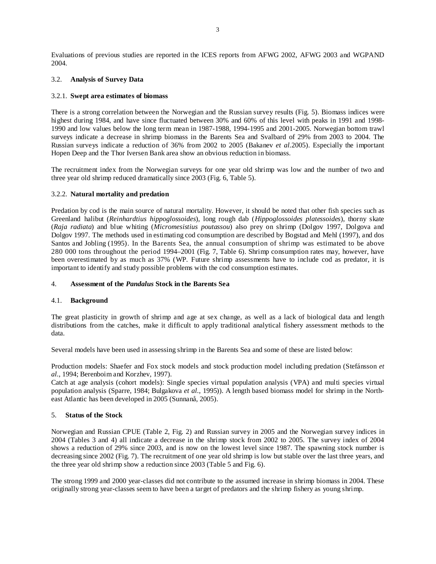Evaluations of previous studies are reported in the ICES reports from AFWG 2002, AFWG 2003 and WGPAND 2004.

# 3.2. **Analysis of Survey Data**

### 3.2.1. **Swept area estimates of biomass**

There is a strong correlation between the Norwegian and the Russian survey results (Fig. 5). Biomass indices were highest during 1984, and have since fluctuated between 30% and 60% of this level with peaks in 1991 and 1998- 1990 and low values below the long term mean in 1987-1988, 1994-1995 and 2001-2005. Norwegian bottom trawl surveys indicate a decrease in shrimp biomass in the Barents Sea and Svalbard of 29% from 2003 to 2004. The Russian surveys indicate a reduction of 36% from 2002 to 2005 (Bakanev *et al.*2005). Especially the important Hopen Deep and the Thor Iversen Bank area show an obvious reduction in biomass.

The recruitment index from the Norwegian surveys for one year old shrimp was low and the number of two and three year old shrimp reduced dramatically since 2003 (Fig. 6, Table 5).

### 3.2.2. **Natural mortality and predation**

Predation by cod is the main source of natural mortality. However, it should be noted that other fish species such as Greenland halibut (*Reinhardtius hippoglossoides*), long rough dab (*Hippoglossoides platessoides*), thorny skate (*Raja radiata*) and blue whiting (*Micromesistius poutassou*) also prey on shrimp (Dolgov 1997, Dolgova and Dolgov 1997. The methods used in estimating cod consumption are described by Bogstad and Mehl (1997), and dos Santos and Jobling (1995). In the Barents Sea, the annual consumption of shrimp was estimated to be above 280 000 tons throughout the period 1994–2001 (Fig. 7, Table 6). Shrimp consumption rates may, however, have been overestimated by as much as 37% (WP. Future shrimp assessments have to include cod as predator, it is important to identify and study possible problems with the cod consumption estimates.

### 4. **Assessment of the** *Pandalus* **Stock in the Barents Sea**

### 4.1. **Background**

The great plasticity in growth of shrimp and age at sex change, as well as a lack of biological data and length distributions from the catches, make it difficult to apply traditional analytical fishery assessment methods to the data.

Several models have been used in assessing shrimp in the Barents Sea and some of these are listed below:

Production models: Shaefer and Fox stock models and stock production model including predation (Stefánsson *et al.*, 1994; Berenboim and Korzhev, 1997).

Catch at age analysis (cohort models): Single species virtual population analysis (VPA) and multi species virtual population analysis (Sparre, 1984; Bulgakova *et al.*, 1995)). A length based biomass model for shrimp in the Northeast Atlantic has been developed in 2005 (Sunnanå, 2005).

# 5. **Status of the Stock**

Norwegian and Russian CPUE (Table 2, Fig. 2) and Russian survey in 2005 and the Norwegian survey indices in 2004 (Tables 3 and 4) all indicate a decrease in the shrimp stock from 2002 to 2005. The survey index of 2004 shows a reduction of 29% since 2003, and is now on the lowest level since 1987. The spawning stock number is decreasing since 2002 (Fig. 7). The recruitment of one year old shrimp is low but stable over the last three years, and the three year old shrimp show a reduction since 2003 (Table 5 and Fig. 6).

The strong 1999 and 2000 year-classes did not contribute to the assumed increase in shrimp biomass in 2004. These originally strong year-classes seem to have been a target of predators and the shrimp fishery as young shrimp.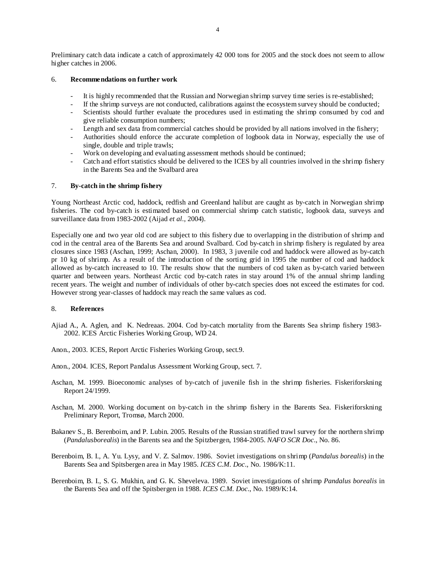Preliminary catch data indicate a catch of approximately 42 000 tons for 2005 and the stock does not seem to allow higher catches in 2006.

#### 6. **Recommendations on further work**

- It is highly recommended that the Russian and Norwegian shrimp survey time series is re-established;
- If the shrimp surveys are not conducted, calibrations against the ecosystem survey should be conducted;
- Scientists should further evaluate the procedures used in estimating the shrimp consumed by cod and give reliable consumption numbers;
- Length and sex data from commercial catches should be provided by all nations involved in the fishery;
- Authorities should enforce the accurate completion of logbook data in Norway, especially the use of single, double and triple trawls;
- Work on developing and evaluating assessment methods should be continued;
- Catch and effort statistics should be delivered to the ICES by all countries involved in the shrimp fishery in the Barents Sea and the Svalbard area

#### 7. **By-catch in the shrimp fishery**

Young Northeast Arctic cod, haddock, redfish and Greenland halibut are caught as by-catch in Norwegian shrimp fisheries. The cod by-catch is estimated based on commercial shrimp catch statistic, logbook data, surveys and surveillance data from 1983-2002 (Aijad *et al.*, 2004).

Especially one and two year old cod are subject to this fishery due to overlapping in the distribution of shrimp and cod in the central area of the Barents Sea and around Svalbard. Cod by-catch in shrimp fishery is regulated by area closures since 1983 (Aschan, 1999; Aschan, 2000). In 1983, 3 juvenile cod and haddock were allowed as by-catch pr 10 kg of shrimp. As a result of the introduction of the sorting grid in 1995 the number of cod and haddock allowed as by-catch increased to 10. The results show that the numbers of cod taken as by-catch varied between quarter and between years. Northeast Arctic cod by-catch rates in stay around 1% of the annual shrimp landing recent years. The weight and number of individuals of other by-catch species does not exceed the estimates for cod. However strong year-classes of haddock may reach the same values as cod.

#### 8. **References**

- Ajiad A., A. Aglen, and K. Nedreaas. 2004. Cod by-catch mortality from the Barents Sea shrimp fishery 1983- 2002. ICES Arctic Fisheries Working Group, WD 24.
- Anon., 2003. ICES, Report Arctic Fisheries Working Group, sect.9.
- Anon., 2004. ICES, Report Pandalus Assessment Working Group, sect. 7.
- Aschan, M. 1999. Bioeconomic analyses of by-catch of juvenile fish in the shrimp fisheries. Fiskeriforskning Report 24/1999.
- Aschan, M. 2000. Working document on by-catch in the shrimp fishery in the Barents Sea. Fiskeriforskning Preliminary Report, Tromsø, March 2000.
- Bakanev S., B. Berenboim, and P. Lubin. 2005. Results of the Russian stratified trawl survey for the northern shrimp (*Pandalusborealis*) in the Barents sea and the Spitzbergen, 1984-2005. *NAFO SCR Doc*., No. 86.
- Berenboim, B. I., A. Yu. Lysy, and V. Z. Salmov. 1986. Soviet investigations on shrimp (*Pandalus borealis*) in the Barents Sea and Spitsbergen area in May 1985. *ICES C.M. Doc*., No. 1986/K:11.
- Berenboim, B. I., S. G. Mukhin, and G. K. Sheveleva. 1989. Soviet investigations of shrimp *Pandalus borealis* in the Barents Sea and off the Spitsbergen in 1988. *ICES C.M. Doc*., No. 1989/K:14.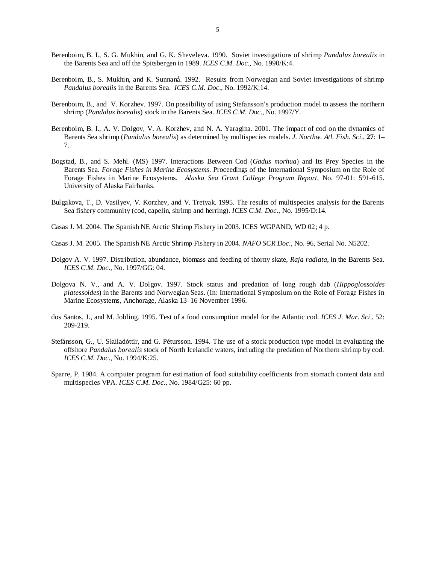- Berenboim, B. I., S. G. Mukhin, and G. K. Sheveleva. 1990. Soviet investigations of shrimp *Pandalus borealis* in the Barents Sea and off the Spitsbergen in 1989. *ICES C.M. Doc*., No. 1990/K:4.
- Berenboim, B., S. Mukhin, and K. Sunnanå. 1992. Results from Norwegian and Soviet investigations of shrimp *Pandalus borealis* in the Barents Sea. *ICES C.M. Doc*., No. 1992/K:14.
- Berenboim, B., and V. Korzhev. 1997. On possibility of using Stefansson's production model to assess the northern shrimp (*Pandalus borealis*) stock in the Barents Sea. *ICES C.M. Doc*., No. 1997/Y.
- Berenboim, B. I., A. V. Dolgov, V. A. Korzhev, and N. A. Yaragina. 2001. The impact of cod on the dynamics of Barents Sea shrimp (*Pandalus borealis*) as determined by multispecies models. *J. Northw. Atl. Fish. Sci*., **27**: 1– 7.
- Bogstad, B., and S. Mehl. (MS) 1997. Interactions Between Cod (*Gadus morhua*) and Its Prey Species in the Barents Sea. *Forage Fishes in Marine Ecosystems*. Proceedings of the International Symposium on the Role of Forage Fishes in Marine Ecosystems. *Alaska Sea Grant College Program Report*, No. 97-01: 591-615. University of Alaska Fairbanks.
- Bulgakova, T., D. Vasilyev, V. Korzhev, and V. Tretyak. 1995. The results of multispecies analysis for the Barents Sea fishery community (cod, capelin, shrimp and herring). *ICES C.M. Doc*., No. 1995/D:14.
- Casas J. M. 2004. The Spanish NE Arctic Shrimp Fishery in 2003. ICES WGPAND, WD 02; 4 p.
- Casas J. M. 2005. The Spanish NE Arctic Shrimp Fishery in 2004. *NAFO SCR Doc*., No. 96, Serial No. N5202.
- Dolgov A. V. 1997. Distribution, abundance, biomass and feeding of thorny skate, *Raja radiata*, in the Barents Sea. *ICES C.M. Doc*., No. 1997/GG: 04.
- Dolgova N. V., and A. V. Dolgov. 1997. Stock status and predation of long rough dab (*Hippoglossoides platessoides*) in the Barents and Norwegian Seas. (In: International Symposium on the Role of Forage Fishes in Marine Ecosystems, Anchorage, Alaska 13–16 November 1996.
- dos Santos, J., and M. Jobling. 1995. Test of a food consumption model for the Atlantic cod. *ICES J. Mar. Sci*., 52: 209-219.
- Stefánsson, G., U. Skúladóttir, and G. Pétursson. 1994. The use of a stock production type model in evaluating the offshore *Pandalus borealis* stock of North Icelandic waters, including the predation of Northern shrimp by cod. *ICES C.M. Doc*., No. 1994/K:25.
- Sparre, P. 1984. A computer program for estimation of food suitability coefficients from stomach content data and multispecies VPA. *ICES C.M. Doc*., No. 1984/G25: 60 pp.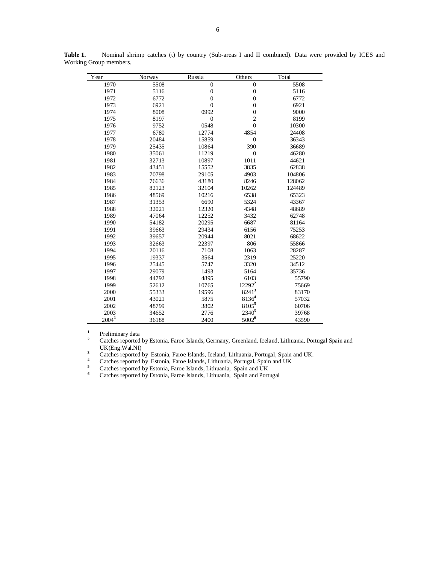| Year              | Norway | Russia         | Others             | Total  |
|-------------------|--------|----------------|--------------------|--------|
| 1970              | 5508   | $\overline{0}$ | $\mathbf{0}$       | 5508   |
| 1971              | 5116   | $\mathbf{0}$   | $\boldsymbol{0}$   | 5116   |
| 1972              | 6772   | $\mathbf{0}$   | $\mathbf{0}$       | 6772   |
| 1973              | 6921   | $\overline{0}$ | $\overline{0}$     | 6921   |
| 1974              | 8008   | 0992           | $\mathbf{0}$       | 9000   |
| 1975              | 8197   | $\mathbf{0}$   | $\overline{c}$     | 8199   |
| 1976              | 9752   | 0548           | $\overline{0}$     | 10300  |
| 1977              | 6780   | 12774          | 4854               | 24408  |
| 1978              | 20484  | 15859          | $\mathbf{0}$       | 36343  |
| 1979              | 25435  | 10864          | 390                | 36689  |
| 1980              | 35061  | 11219          | $\mathbf{0}$       | 46280  |
| 1981              | 32713  | 10897          | 1011               | 44621  |
| 1982              | 43451  | 15552          | 3835               | 62838  |
| 1983              | 70798  | 29105          | 4903               | 104806 |
| 1984              | 76636  | 43180          | 8246               | 128062 |
| 1985              | 82123  | 32104          | 10262              | 124489 |
| 1986              | 48569  | 10216          | 6538               | 65323  |
| 1987              | 31353  | 6690           | 5324               | 43367  |
| 1988              | 32021  | 12320          | 4348               | 48689  |
| 1989              | 47064  | 12252          | 3432               | 62748  |
| 1990              | 54182  | 20295          | 6687               | 81164  |
| 1991              | 39663  | 29434          | 6156               | 75253  |
| 1992              | 39657  | 20944          | 8021               | 68622  |
| 1993              | 32663  | 22397          | 806                | 55866  |
| 1994              | 20116  | 7108           | 1063               | 28287  |
| 1995              | 19337  | 3564           | 2319               | 25220  |
| 1996              | 25445  | 5747           | 3320               | 34512  |
| 1997              | 29079  | 1493           | 5164               | 35736  |
| 1998              | 44792  | 4895           | 6103               | 55790  |
| 1999              | 52612  | 10765          | 12292 <sup>2</sup> | 75669  |
| 2000              | 55333  | 19596          | 82413              | 83170  |
| 2001              | 43021  | 5875           | 81364              | 57032  |
| 2002              | 48799  | 3802           | 81055              | 60706  |
| 2003              | 34652  | 2776           | 2340 <sup>5</sup>  | 39768  |
| 2004 <sup>1</sup> | 36188  | 2400           | $5002^6$           | 43590  |

**Table 1.** Nominal shrimp catches (t) by country (Sub-areas I and II combined). Data were provided by ICES and Working Group members.

**1** Preliminary data

 $\overline{a}$ 

**2** Catches reported by Estonia, Faroe Islands, Germany, Greenland, Iceland, Lithuania, Portugal Spain and UK(Eng.Wal.NI) **<sup>3</sup>**

Catches reported by Estonia, Faroe Islands, Iceland, Lithuania, Portugal, Spain and UK.

**4** Catches reported by Estonia, Faroe Islands, Lithuania, Portugal, Spain and UK

<sup>5</sup> Catches reported by Estonia, Faroe Islands, Lithuania, Spain and UK Catches reported by Estonia, Faroe Islands, Lithuania, Spain and Portugal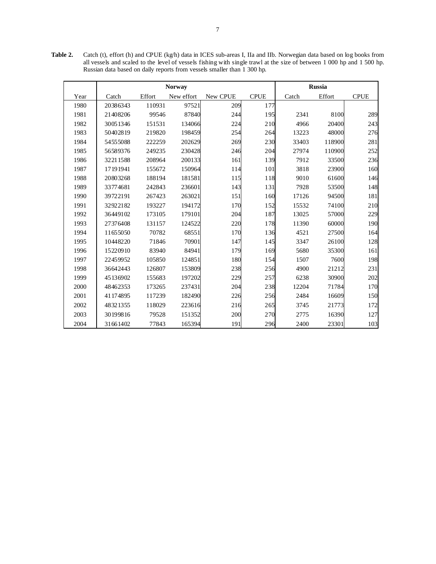**Table 2.** Catch (t), effort (h) and CPUE (kg/h) data in ICES sub-areas I, IIa and IIb. Norwegian data based on log books from all vessels and scaled to the level of vessels fishing with single trawl at the size of between 1 000 hp and 1 500 hp. Russian data based on daily reports from vessels smaller than 1 300 hp.

|      |          | <b>Norway</b> |            | <b>Russia</b> |             |       |        |             |
|------|----------|---------------|------------|---------------|-------------|-------|--------|-------------|
| Year | Catch    | Effort        | New effort | New CPUE      | <b>CPUE</b> | Catch | Effort | <b>CPUE</b> |
| 1980 | 20386343 | 110931        | 97521      | 209           | 177         |       |        |             |
| 1981 | 21408206 | 99546         | 87840      | 244           | 195         | 2341  | 8100   | 289         |
| 1982 | 30051346 | 151531        | 134066     | 224           | 210         | 4966  | 20400  | 243         |
| 1983 | 50402819 | 219820        | 198459     | 254           | 264         | 13223 | 48000  | 276         |
| 1984 | 54555088 | 222259        | 202629     | 269           | 230         | 33403 | 118900 | 281         |
| 1985 | 56589376 | 249235        | 230428     | 246           | 204         | 27974 | 110900 | 252         |
| 1986 | 32211588 | 208964        | 200133     | 161           | 139         | 7912  | 33500  | 236         |
| 1987 | 17191941 | 155672        | 150964     | 114           | 101         | 3818  | 23900  | 160         |
| 1988 | 20803268 | 188194        | 181581     | 115           | 118         | 9010  | 61600  | 146         |
| 1989 | 33774681 | 242843        | 236601     | 143           | 131         | 7928  | 53500  | 148         |
| 1990 | 39722191 | 267423        | 263021     | 151           | 160         | 17126 | 94500  | 181         |
| 1991 | 32922182 | 193227        | 194172     | 170           | 152         | 15532 | 74100  | 210         |
| 1992 | 36449102 | 173105        | 179101     | 204           | 187         | 13025 | 57000  | 229         |
| 1993 | 27376408 | 131157        | 124522     | 220           | 178         | 11390 | 60000  | 190         |
| 1994 | 11655050 | 70782         | 68551      | 170           | 136         | 4521  | 27500  | 164         |
| 1995 | 10448220 | 71846         | 70901      | 147           | 145         | 3347  | 26100  | 128         |
| 1996 | 15220910 | 83940         | 84941      | 179           | 169         | 5680  | 35300  | 161         |
| 1997 | 22459952 | 105850        | 124851     | 180           | 154         | 1507  | 7600   | 198         |
| 1998 | 36642443 | 126807        | 153809     | 238           | 256         | 4900  | 21212  | 231         |
| 1999 | 45136902 | 155683        | 197202     | 229           | 257         | 6238  | 30900  | 202         |
| 2000 | 48462353 | 173265        | 237431     | 204           | 238         | 12204 | 71784  | 170         |
| 2001 | 41174895 | 117239        | 182490     | 226           | 256         | 2484  | 16609  | 150         |
| 2002 | 48321355 | 118029        | 223616     | 216           | 265         | 3745  | 21773  | 172         |
| 2003 | 30199816 | 79528         | 151352     | 200           | 270         | 2775  | 16390  | 127         |
| 2004 | 31661402 | 77843         | 165394     | 191           | 296         | 2400  | 23301  | 103         |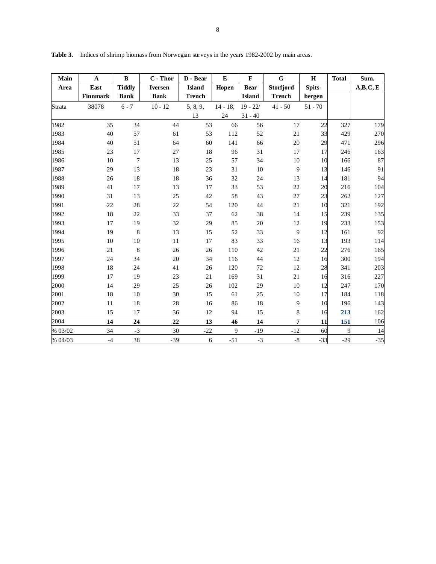| Main    | $\mathbf{A}$ | $\bf{B}$        | $C$ - Thor     | D - Bear      | E           | $\mathbf{F}$  | G              | $\mathbf H$ | <b>Total</b> | Sum.    |
|---------|--------------|-----------------|----------------|---------------|-------------|---------------|----------------|-------------|--------------|---------|
| Area    | East         | <b>Tiddly</b>   | <b>Iversen</b> | <b>Island</b> | Hopen       | <b>Bear</b>   | Storfjord      | Spits-      |              | A,B,C,E |
|         | Finnmark     | <b>Bank</b>     | <b>Bank</b>    | <b>Trench</b> |             | <b>Island</b> | <b>Trench</b>  | bergen      |              |         |
| Strata  | 38078        | $6 - 7$         | $10 - 12$      | 5, 8, 9,      | $14 - 18$ , | $19 - 22/$    | $41 - 50$      | $51 - 70$   |              |         |
|         |              |                 |                | 13            | 24          | $31 - 40$     |                |             |              |         |
| 1982    | 35           | 34              | 44             | 53            | 66          | 56            | 17             | 22          | 327          | 179     |
| 1983    | 40           | 57              | 61             | 53            | 112         | 52            | 21             | 33          | 429          | 270     |
| 1984    | 40           | 51              | 64             | 60            | 141         | 66            | $20\,$         | 29          | 471          | 296     |
| 1985    | 23           | 17              | 27             | 18            | 96          | 31            | 17             | 17          | 246          | 163     |
| 1986    | 10           | $7\phantom{.0}$ | 13             | 25            | 57          | 34            | $10\,$         | 10          | 166          | 87      |
| 1987    | 29           | 13              | 18             | 23            | 31          | 10            | 9              | 13          | 146          | 91      |
| 1988    | 26           | 18              | 18             | 36            | 32          | 24            | 13             | 14          | 181          | 94      |
| 1989    | 41           | 17              | 13             | 17            | 33          | 53            | $22\,$         | 20          | 216          | 104     |
| 1990    | 31           | 13              | 25             | 42            | 58          | 43            | 27             | 23          | 262          | 127     |
| 1991    | $22\,$       | 28              | 22             | 54            | 120         | 44            | 21             | 10          | 321          | 192     |
| 1992    | 18           | 22              | 33             | 37            | 62          | 38            | 14             | 15          | 239          | 135     |
| 1993    | 17           | 19              | 32             | 29            | 85          | 20            | 12             | 19          | 233          | 153     |
| 1994    | 19           | $\,8\,$         | 13             | 15            | 52          | 33            | 9              | 12          | 161          | 92      |
| 1995    | 10           | 10              | 11             | 17            | 83          | 33            | 16             | 13          | 193          | 114     |
| 1996    | 21           | $\,8\,$         | 26             | $26\,$        | 110         | 42            | $21\,$         | 22          | 276          | 165     |
| 1997    | 24           | 34              | 20             | 34            | 116         | 44            | 12             | 16          | 300          | 194     |
| 1998    | 18           | 24              | 41             | 26            | 120         | 72            | $12\,$         | 28          | 341          | 203     |
| 1999    | 17           | 19              | 23             | 21            | 169         | 31            | 21             | 16          | 316          | 227     |
| 2000    | 14           | 29              | 25             | 26            | 102         | 29            | 10             | 12          | 247          | 170     |
| 2001    | $18\,$       | 10              | 30             | 15            | 61          | 25            | $10\,$         | 17          | 184          | 118     |
| 2002    | 11           | 18              | 28             | 16            | 86          | 18            | 9              | 10          | 196          | 143     |
| 2003    | 15           | 17              | 36             | 12            | 94          | 15            | $\,8\,$        | 16          | 213          | 162     |
| 2004    | 14           | 24              | 22             | 13            | 46          | 14            | $\overline{7}$ | 11          | 151          | 106     |
| % 03/02 | 34           | $-3$            | 30             | $-22$         | 9           | $-19$         | $-12$          | 60          | 9            | 14      |
| % 04/03 | $-4$         | 38              | $-39$          | 6             | $-51$       | $-3$          | $\text{-}8$    | $-33$       | $-29$        | $-35$   |

**Table 3.** Indices of shrimp biomass from Norwegian surveys in the years 1982-2002 by main areas.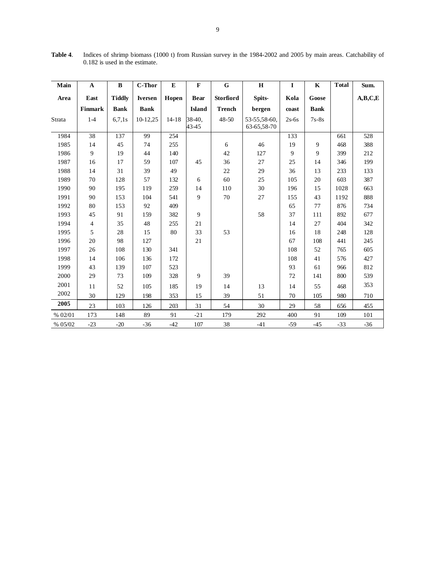| Main    | $\mathbf A$     | B             | <b>C-Thor</b>  | E         | F               | $\mathbf G$      | $\bf H$                     | I       | $\mathbf K$ | <b>Total</b> | Sum.             |
|---------|-----------------|---------------|----------------|-----------|-----------------|------------------|-----------------------------|---------|-------------|--------------|------------------|
| Area    | East            | <b>Tiddly</b> | <b>Iversen</b> | Hopen     | <b>Bear</b>     | <b>Storfiord</b> | Spits-                      | Kola    | Goose       |              | A,B,C,E          |
|         | Finmark         | <b>Bank</b>   | <b>Bank</b>    |           | <b>Island</b>   | <b>Trench</b>    | bergen                      | coast   | <b>Bank</b> |              |                  |
| Strata  | $1-4$           | 6,7,1s        | 10-12,25       | $14 - 18$ | 38-40,<br>43-45 | $48 - 50$        | 53-55,58-60,<br>63-65,58-70 | $2s-6s$ | $7s-8s$     |              |                  |
| 1984    | $\overline{38}$ | 137           | 99             | 254       |                 |                  |                             | 133     |             | 661          | $\overline{528}$ |
| 1985    | 14              | 45            | 74             | 255       |                 | 6                | 46                          | 19      | 9           | 468          | 388              |
| 1986    | 9               | 19            | 44             | 140       |                 | 42               | 127                         | 9       | 9           | 399          | 212              |
| 1987    | 16              | 17            | 59             | 107       | 45              | 36               | $27\,$                      | 25      | 14          | 346          | 199              |
| 1988    | 14              | 31            | 39             | 49        |                 | 22               | 29                          | 36      | 13          | 233          | 133              |
| 1989    | 70              | 128           | 57             | 132       | 6               | 60               | 25                          | 105     | 20          | 603          | 387              |
| 1990    | 90              | 195           | 119            | 259       | 14              | 110              | 30                          | 196     | 15          | 1028         | 663              |
| 1991    | 90              | 153           | 104            | 541       | 9               | 70               | 27                          | 155     | 43          | 1192         | 888              |
| 1992    | $80\,$          | 153           | 92             | 409       |                 |                  |                             | 65      | 77          | 876          | 734              |
| 1993    | 45              | 91            | 159            | 382       | 9               |                  | 58                          | 37      | 111         | 892          | 677              |
| 1994    | 4               | 35            | 48             | 255       | 21              |                  |                             | 14      | 27          | 404          | 342              |
| 1995    | 5               | 28            | 15             | 80        | 33              | 53               |                             | 16      | 18          | 248          | 128              |
| 1996    | 20              | 98            | 127            |           | 21              |                  |                             | 67      | 108         | 441          | 245              |
| 1997    | 26              | 108           | 130            | 341       |                 |                  |                             | 108     | 52          | 765          | 605              |
| 1998    | 14              | 106           | 136            | 172       |                 |                  |                             | 108     | 41          | 576          | 427              |
| 1999    | 43              | 139           | 107            | 523       |                 |                  |                             | 93      | 61          | 966          | 812              |
| 2000    | 29              | 73            | 109            | 328       | 9               | 39               |                             | 72      | 141         | 800          | 539              |
| 2001    | 11              | 52            | 105            | 185       | 19              | 14               | 13                          | 14      | 55          | 468          | 353              |
| 2002    | 30              | 129           | 198            | 353       | 15              | 39               | 51                          | 70      | 105         | 980          | 710              |
| 2005    | 23              | 103           | 126            | 203       | 31              | 54               | 30                          | 29      | 58          | 656          | 455              |
| % 02/01 | 173             | 148           | 89             | 91        | $-21$           | 179              | 292                         | 400     | 91          | 109          | 101              |
| % 05/02 | $-23$           | $-20$         | $-36$          | $-42$     | 107             | 38               | $-41$                       | $-59$   | $-45$       | $-33$        | $-36$            |

**Table 4**. Indices of shrimp biomass (1000 t) from Russian survey in the 1984-2002 and 2005 by main areas. Catchability of 0.182 is used in the estimate.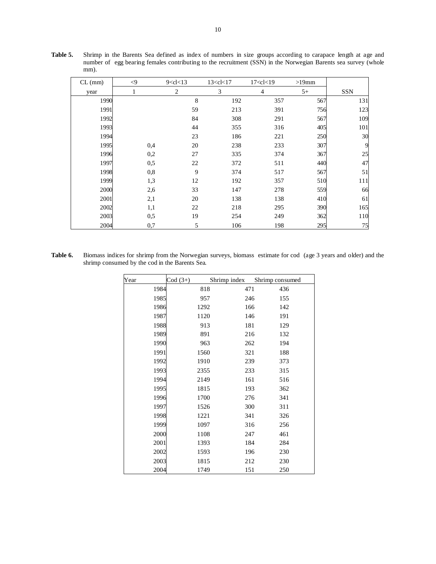| $CL$ (mm) | $\leq$ 9     |     | 9 < c < 13 |    | 13 < c < 17 | 17 < c < 19 | $>19$ mm |            |
|-----------|--------------|-----|------------|----|-------------|-------------|----------|------------|
| year      | $\mathbf{1}$ |     | 2          |    | 3           | 4           | $5+$     | <b>SSN</b> |
| 1990      |              |     |            | 8  | 192         | 357         | 567      | 131        |
| 1991      |              |     |            | 59 | 213         | 391         | 756      | 123        |
| 1992      |              |     |            | 84 | 308         | 291         | 567      | 109        |
| 1993      |              |     |            | 44 | 355         | 316         | 405      | 101        |
| 1994      |              |     |            | 23 | 186         | 221         | 250      | 30         |
| 1995      |              | 0,4 |            | 20 | 238         | 233         | 307      | 9          |
| 1996      |              | 0,2 |            | 27 | 335         | 374         | 367      | 25         |
| 1997      |              | 0,5 |            | 22 | 372         | 511         | 440      | 47         |
| 1998      |              | 0,8 |            | 9  | 374         | 517         | 567      | 51         |
| 1999      |              | 1,3 |            | 12 | 192         | 357         | 510      | 111        |
| 2000      |              | 2,6 |            | 33 | 147         | 278         | 559      | 66         |
| 2001      |              | 2,1 |            | 20 | 138         | 138         | 410      | 61         |
| 2002      |              | 1,1 |            | 22 | 218         | 295         | 390      | 165        |
| 2003      |              | 0,5 |            | 19 | 254         | 249         | 362      | 110        |
| 2004      |              | 0,7 |            | 5  | 106         | 198         | 295      | 75         |

**Table 5.** Shrimp in the Barents Sea defined as index of numbers in size groups according to carapace length at age and number of egg bearing females contributing to the recruitment (SSN) in the Norwegian Barents sea survey (whole mm).

**Table 6.** Biomass indices for shrimp from the Norwegian surveys, biomass estimate for cod (age 3 years and older) and the shrimp consumed by the cod in the Barents Sea.

| Year | $\text{Cod}(3+)$ | Shrimp index | Shrimp consumed |
|------|------------------|--------------|-----------------|
| 1984 | 818              | 471          | 436             |
| 1985 | 957              | 246          | 155             |
| 1986 | 1292             | 166          | 142             |
| 1987 | 1120             | 146          | 191             |
| 1988 | 913              | 181          | 129             |
| 1989 | 891              | 216          | 132             |
| 1990 | 963              | 262          | 194             |
| 1991 | 1560             | 321          | 188             |
| 1992 | 1910             | 239          | 373             |
| 1993 | 2355             | 233          | 315             |
| 1994 | 2149             | 161          | 516             |
| 1995 | 1815             | 193          | 362             |
| 1996 | 1700             | 276          | 341             |
| 1997 | 1526             | 300          | 311             |
| 1998 | 1221             | 341          | 326             |
| 1999 | 1097             | 316          | 256             |
| 2000 | 1108             | 247          | 461             |
| 2001 | 1393             | 184          | 284             |
| 2002 | 1593             | 196          | 230             |
| 2003 | 1815             | 212          | 230             |
| 2004 | 1749             | 151          | 250             |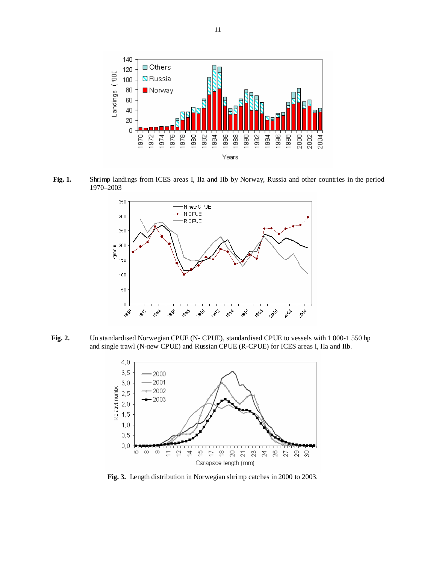

 **Fig. 1.** Shrimp landings from ICES areas I, IIa and IIb by Norway, Russia and other countries in the period 1970–2003



**Fig. 2.** Un standardised Norwegian CPUE (N- CPUE), standardised CPUE to vessels with 1 000-1 550 hp and single trawl (N-new CPUE) and Russian CPUE (R-CPUE) for ICES areas I, IIa and IIb.



**Fig. 3.** Length distribution in Norwegian shrimp catches in 2000 to 2003.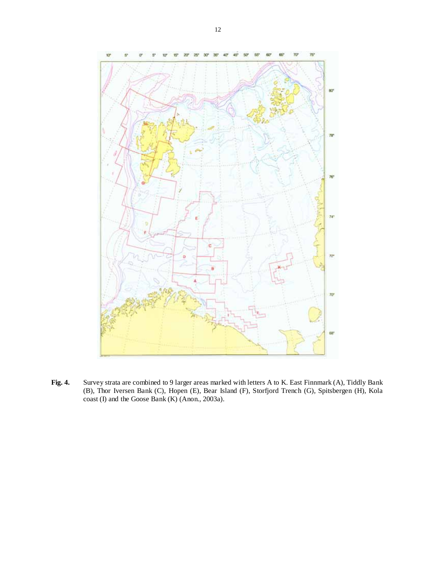

**Fig. 4.** Survey strata are combined to 9 larger areas marked with letters A to K. East Finnmark (A), Tiddly Bank (B), Thor Iversen Bank (C), Hopen (E), Bear Island (F), Storfjord Trench (G), Spitsbergen (H), Kola coast (I) and the Goose Bank (K) (Anon., 2003a).